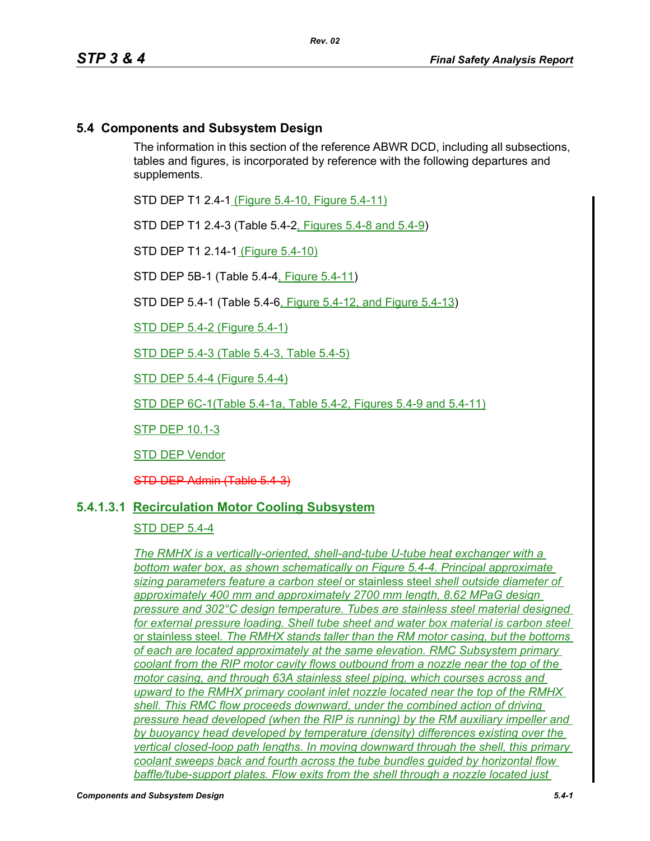# **5.4 Components and Subsystem Design**

The information in this section of the reference ABWR DCD, including all subsections, tables and figures, is incorporated by reference with the following departures and supplements.

STD DEP T1 2.4-1 (Figure 5.4-10, Figure 5.4-11)

STD DEP T1 2.4-3 (Table 5.4-2, Figures 5.4-8 and 5.4-9)

STD DEP T1 2.14-1 (Figure 5.4-10)

STD DEP 5B-1 (Table 5.4-4, Figure 5.4-11)

STD DEP 5.4-1 (Table 5.4-6, Figure 5.4-12, and Figure 5.4-13)

STD DEP 5.4-2 (Figure 5.4-1)

STD DEP 5.4-3 (Table 5.4-3, Table 5.4-5)

STD DEP 5.4-4 (Figure 5.4-4)

STD DEP 6C-1(Table 5.4-1a, Table 5.4-2, Figures 5.4-9 and 5.4-11)

STP DEP 10.1-3

STD DEP Vendor

STD DEP Admin (Table 5.4-3)

### **5.4.1.3.1 Recirculation Motor Cooling Subsystem**

### STD DEP 5.4-4

*The RMHX is a vertically-oriented, shell-and-tube U-tube heat exchanger with a bottom water box, as shown schematically on Figure 5.4-4. Principal approximate sizing parameters feature a carbon steel* or stainless steel *shell outside diameter of approximately 400 mm and approximately 2700 mm length, 8.62 MPaG design pressure and 302°C design temperature. Tubes are stainless steel material designed for external pressure loading. Shell tube sheet and water box material is carbon steel*  or stainless steel*. The RMHX stands taller than the RM motor casing, but the bottoms of each are located approximately at the same elevation. RMC Subsystem primary coolant from the RIP motor cavity flows outbound from a nozzle near the top of the motor casing, and through 63A stainless steel piping, which courses across and upward to the RMHX primary coolant inlet nozzle located near the top of the RMHX shell. This RMC flow proceeds downward, under the combined action of driving pressure head developed (when the RIP is running) by the RM auxiliary impeller and by buoyancy head developed by temperature (density) differences existing over the vertical closed-loop path lengths. In moving downward through the shell, this primary coolant sweeps back and fourth across the tube bundles guided by horizontal flow baffle/tube-support plates. Flow exits from the shell through a nozzle located just*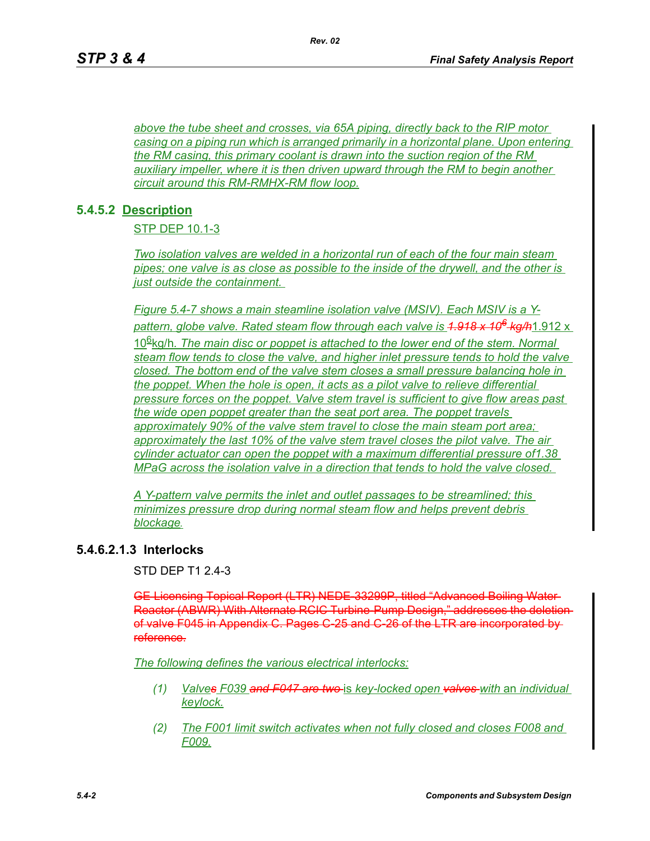*above the tube sheet and crosses, via 65A piping, directly back to the RIP motor casing on a piping run which is arranged primarily in a horizontal plane. Upon entering the RM casing, this primary coolant is drawn into the suction region of the RM auxiliary impeller, where it is then driven upward through the RM to begin another circuit around this RM-RMHX-RM flow loop.*

*Rev. 02*

# **5.4.5.2 Description**

STP DEP 10.1-3

*Two isolation valves are welded in a horizontal run of each of the four main steam pipes; one valve is as close as possible to the inside of the drywell, and the other is just outside the containment.* 

*Figure 5.4-7 shows a main steamline isolation valve (MSIV). Each MSIV is a Ypattern, globe valve. Rated steam flow through each valve is 1.918 x 106 kg/h*1.912 x 106kg/h*. The main disc or poppet is attached to the lower end of the stem. Normal steam flow tends to close the valve, and higher inlet pressure tends to hold the valve closed. The bottom end of the valve stem closes a small pressure balancing hole in the poppet. When the hole is open, it acts as a pilot valve to relieve differential pressure forces on the poppet. Valve stem travel is sufficient to give flow areas past the wide open poppet greater than the seat port area. The poppet travels approximately 90% of the valve stem travel to close the main steam port area; approximately the last 10% of the valve stem travel closes the pilot valve. The air cylinder actuator can open the poppet with a maximum differential pressure of1.38 MPaG across the isolation valve in a direction that tends to hold the valve closed.* 

*A Y-pattern valve permits the inlet and outlet passages to be streamlined; this minimizes pressure drop during normal steam flow and helps prevent debris blockage.*

# **5.4.6.2.1.3 Interlocks**

STD DEP T1 2.4-3

GE Licensing Topical Report (LTR) NEDE-33299P, titled "Advanced Boiling Water Reactor (ABWR) With Alternate RCIC Turbine-Pump Design," addresses the deletion of valve F045 in Appendix C. Pages C-25 and C-26 of the LTR are incorporated by reference.

*The following defines the various electrical interlocks:*

- *(1) Valves F039 and F047 are two* is *key-locked open valves with* an *individual keylock.*
- *(2) The F001 limit switch activates when not fully closed and closes F008 and F009.*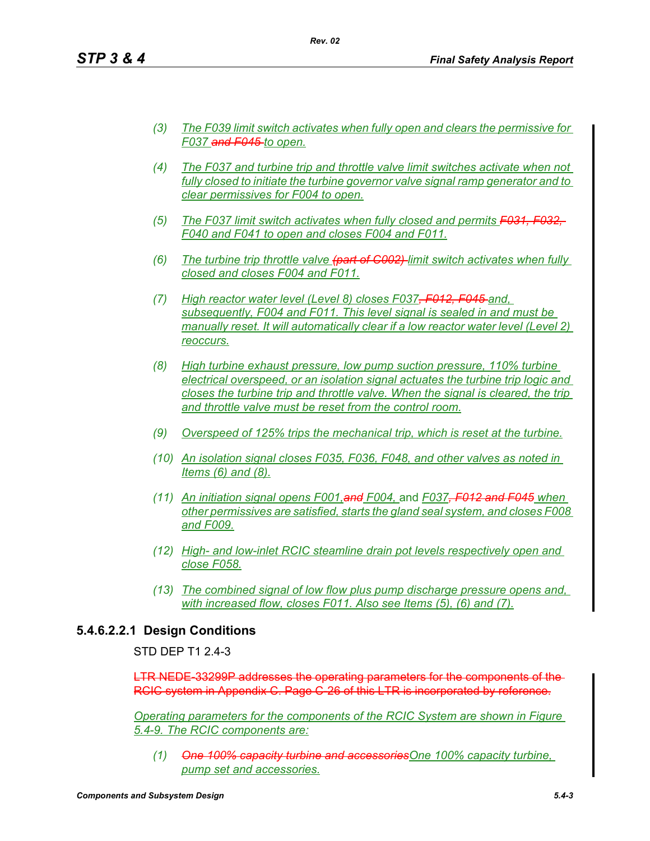- *(3) The F039 limit switch activates when fully open and clears the permissive for F037 and F045 to open.*
- *(4) The F037 and turbine trip and throttle valve limit switches activate when not fully closed to initiate the turbine governor valve signal ramp generator and to clear permissives for F004 to open.*
- *(5) The F037 limit switch activates when fully closed and permits F031, F032, F040 and F041 to open and closes F004 and F011.*
- *(6) The turbine trip throttle valve (part of C002) limit switch activates when fully closed and closes F004 and F011.*
- *(7) High reactor water level (Level 8) closes F037, F012, F045 and, subsequently, F004 and F011. This level signal is sealed in and must be manually reset. It will automatically clear if a low reactor water level (Level 2) reoccurs.*
- *(8) High turbine exhaust pressure, low pump suction pressure, 110% turbine electrical overspeed, or an isolation signal actuates the turbine trip logic and closes the turbine trip and throttle valve. When the signal is cleared, the trip and throttle valve must be reset from the control room.*
- *(9) Overspeed of 125% trips the mechanical trip, which is reset at the turbine.*
- *(10) An isolation signal closes F035, F036, F048, and other valves as noted in Items (6) and (8).*
- *(11) An initiation signal opens F001,and F004,* and *F037, F012 and F045 when other permissives are satisfied, starts the gland seal system, and closes F008 and F009.*
- *(12) High- and low-inlet RCIC steamline drain pot levels respectively open and close F058.*
- *(13) The combined signal of low flow plus pump discharge pressure opens and, with increased flow, closes F011. Also see Items (5), (6) and (7).*

# **5.4.6.2.2.1 Design Conditions**

### STD DFP T1 2 4-3

LTR NEDE-33299P addresses the operating parameters for the components of the-RCIC system in Appendix C. Page C-26 of this LTR is incorporated by reference.

*Operating parameters for the components of the RCIC System are shown in Figure 5.4-9. The RCIC components are:*

*(1) One 100% capacity turbine and accessoriesOne 100% capacity turbine, pump set and accessories.*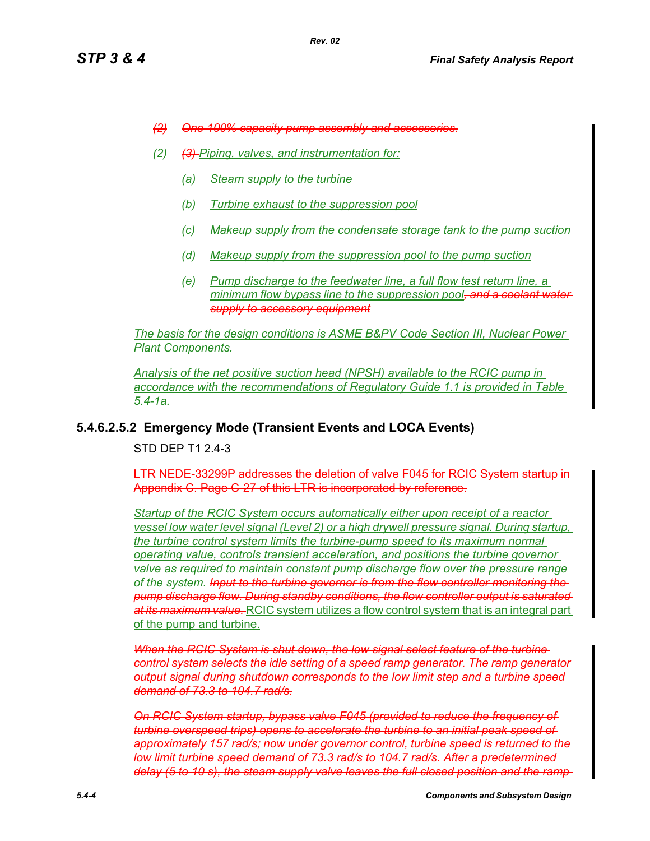- *(2) One 100% capacity pump assembly and accessories.*
- *(2) (3) Piping, valves, and instrumentation for:*
	- *(a) Steam supply to the turbine*
	- *(b) Turbine exhaust to the suppression pool*
	- *(c) Makeup supply from the condensate storage tank to the pump suction*
	- *(d) Makeup supply from the suppression pool to the pump suction*
	- *(e) Pump discharge to the feedwater line, a full flow test return line, a minimum flow bypass line to the suppression pool, and a coolant water supply to accessory equipment*

*The basis for the design conditions is ASME B&PV Code Section III, Nuclear Power Plant Components.*

*Analysis of the net positive suction head (NPSH) available to the RCIC pump in accordance with the recommendations of Regulatory Guide 1.1 is provided in Table 5.4-1a.*

### **5.4.6.2.5.2 Emergency Mode (Transient Events and LOCA Events)**

STD DEP T1 2.4-3

LTR NEDE-33299P addresses the deletion of valve F045 for RCIC System startup in Appendix C. Page C-27 of this LTR is incorporated by reference.

*Startup of the RCIC System occurs automatically either upon receipt of a reactor vessel low water level signal (Level 2) or a high drywell pressure signal. During startup, the turbine control system limits the turbine-pump speed to its maximum normal operating value, controls transient acceleration, and positions the turbine governor valve as required to maintain constant pump discharge flow over the pressure range of the system. Input to the turbine governor is from the flow controller monitoring the pump discharge flow. During standby conditions, the flow controller output is saturated at its maximum value.* RCIC system utilizes a flow control system that is an integral part of the pump and turbine.

*When the RCIC System is shut down, the low signal select feature of the turbine control system selects the idle setting of a speed ramp generator. The ramp generator output signal during shutdown corresponds to the low limit step and a turbine speed demand of 73.3 to 104.7 rad/s.*

*On RCIC System startup, bypass valve F045 (provided to reduce the frequency of turbine overspeed trips) opens to accelerate the turbine to an initial peak speed of approximately 157 rad/s; now under governor control, turbine speed is returned to the low limit turbine speed demand of 73.3 rad/s to 104.7 rad/s. After a predetermined delay (5 to 10 s), the steam supply valve leaves the full closed position and the ramp*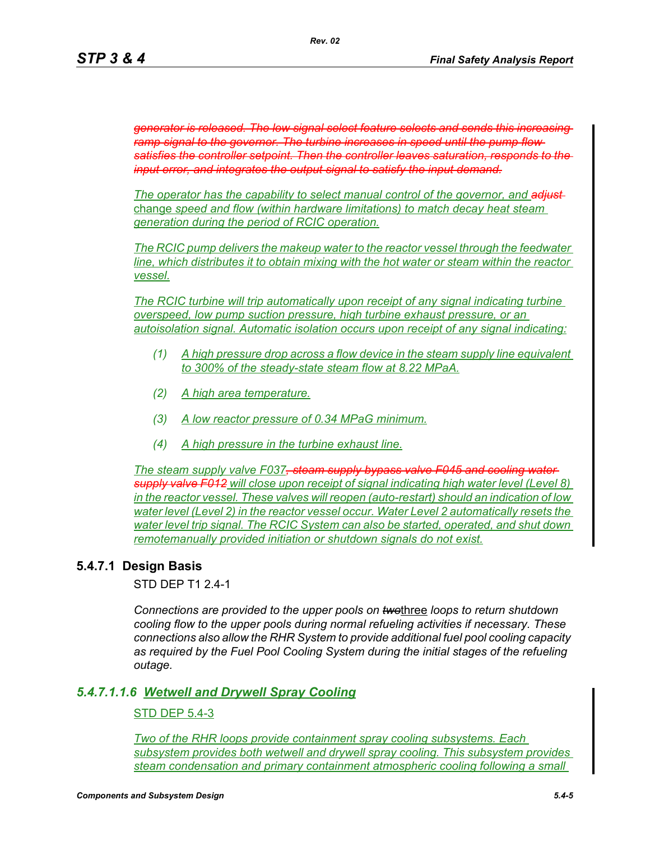*generator is released. The low signal select feature selects and sends this increasing ramp signal to the governor. The turbine increases in speed until the pump flow satisfies the controller setpoint. Then the controller leaves saturation, responds to the input error, and integrates the output signal to satisfy the input demand.*

*The operator has the capability to select manual control of the governor, and adjust*  change *speed and flow (within hardware limitations) to match decay heat steam generation during the period of RCIC operation.*

*The RCIC pump delivers the makeup water to the reactor vessel through the feedwater line, which distributes it to obtain mixing with the hot water or steam within the reactor vessel.*

*The RCIC turbine will trip automatically upon receipt of any signal indicating turbine overspeed, low pump suction pressure, high turbine exhaust pressure, or an autoisolation signal. Automatic isolation occurs upon receipt of any signal indicating:*

- *(1) A high pressure drop across a flow device in the steam supply line equivalent to 300% of the steady-state steam flow at 8.22 MPaA.*
- *(2) A high area temperature.*
- *(3) A low reactor pressure of 0.34 MPaG minimum.*
- *(4) A high pressure in the turbine exhaust line.*

*The steam supply valve F037, steam supply bypass valve F045 and cooling water supply valve F012 will close upon receipt of signal indicating high water level (Level 8) in the reactor vessel. These valves will reopen (auto-restart) should an indication of low water level (Level 2) in the reactor vessel occur. Water Level 2 automatically resets the water level trip signal. The RCIC System can also be started, operated, and shut down remotemanually provided initiation or shutdown signals do not exist.*

# **5.4.7.1 Design Basis**

STD DEP T1 2.4-1

*Connections are provided to the upper pools on two*three *loops to return shutdown cooling flow to the upper pools during normal refueling activities if necessary. These connections also allow the RHR System to provide additional fuel pool cooling capacity as required by the Fuel Pool Cooling System during the initial stages of the refueling outage.*

### *5.4.7.1.1.6 Wetwell and Drywell Spray Cooling*

### STD DEP 5.4-3

*Two of the RHR loops provide containment spray cooling subsystems. Each subsystem provides both wetwell and drywell spray cooling. This subsystem provides steam condensation and primary containment atmospheric cooling following a small*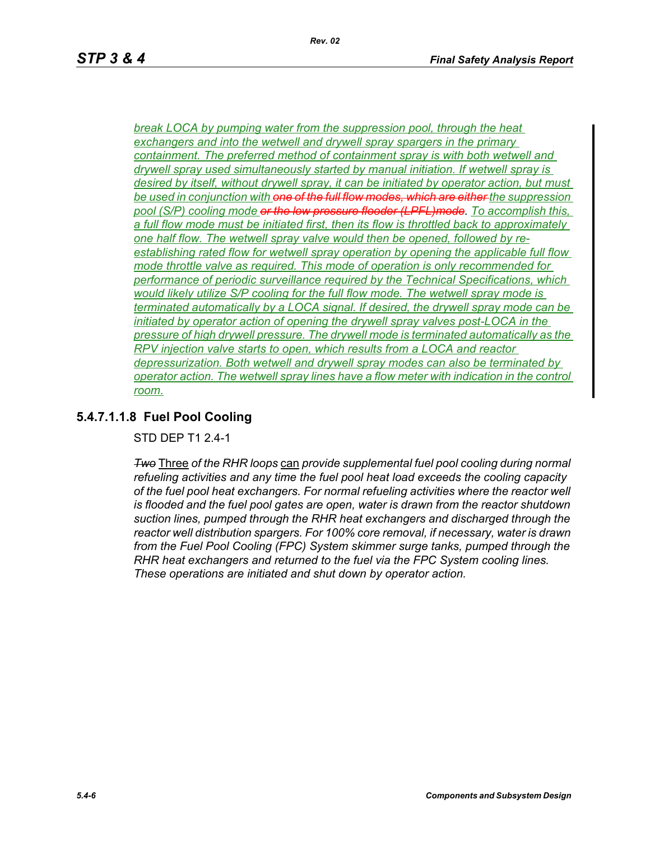*break LOCA by pumping water from the suppression pool, through the heat exchangers and into the wetwell and drywell spray spargers in the primary containment. The preferred method of containment spray is with both wetwell and drywell spray used simultaneously started by manual initiation. If wetwell spray is desired by itself, without drywell spray, it can be initiated by operator action, but must be used in conjunction with one of the full flow modes, which are either the suppression pool (S/P) cooling mode or the low pressure flooder (LPFL)mode. To accomplish this, a full flow mode must be initiated first, then its flow is throttled back to approximately one half flow. The wetwell spray valve would then be opened, followed by reestablishing rated flow for wetwell spray operation by opening the applicable full flow mode throttle valve as required. This mode of operation is only recommended for performance of periodic surveillance required by the Technical Specifications, which would likely utilize S/P cooling for the full flow mode. The wetwell spray mode is terminated automatically by a LOCA signal. If desired, the drywell spray mode can be initiated by operator action of opening the drywell spray valves post-LOCA in the pressure of high drywell pressure. The drywell mode is terminated automatically as the RPV injection valve starts to open, which results from a LOCA and reactor depressurization. Both wetwell and drywell spray modes can also be terminated by operator action. The wetwell spray lines have a flow meter with indication in the control room.*

*Rev. 02*

# **5.4.7.1.1.8 Fuel Pool Cooling**

STD DEP T1 2.4-1

*Two* Three *of the RHR loops* can *provide supplemental fuel pool cooling during normal refueling activities and any time the fuel pool heat load exceeds the cooling capacity of the fuel pool heat exchangers. For normal refueling activities where the reactor well is flooded and the fuel pool gates are open, water is drawn from the reactor shutdown suction lines, pumped through the RHR heat exchangers and discharged through the reactor well distribution spargers. For 100% core removal, if necessary, water is drawn from the Fuel Pool Cooling (FPC) System skimmer surge tanks, pumped through the RHR heat exchangers and returned to the fuel via the FPC System cooling lines. These operations are initiated and shut down by operator action.*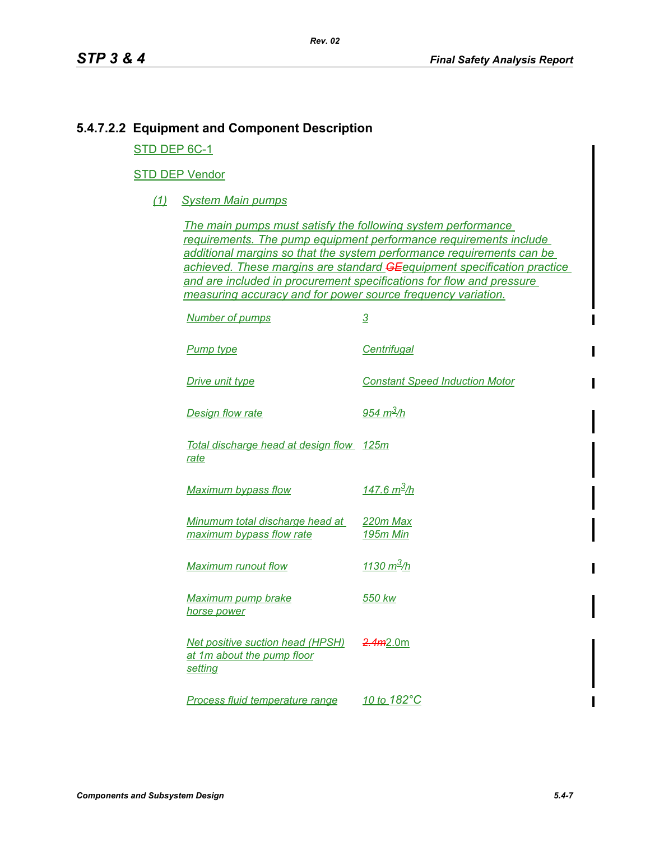# **5.4.7.2.2 Equipment and Component Description**

STD DEP 6C-1

## STD DEP Vendor

*(1) System Main pumps*

*The main pumps must satisfy the following system performance requirements. The pump equipment performance requirements include additional margins so that the system performance requirements can be achieved. These margins are standard GEequipment specification practice and are included in procurement specifications for flow and pressure measuring accuracy and for power source frequency variation.*

| <b>Number of pumps</b>                                                           | <u>3</u>                              |
|----------------------------------------------------------------------------------|---------------------------------------|
| <b>Pump type</b>                                                                 | <b>Centrifugal</b>                    |
| Drive unit type                                                                  | <b>Constant Speed Induction Motor</b> |
| <b>Design flow rate</b>                                                          | <u>954 m<sup>3</sup>/h</u>            |
| Total discharge head at design flow 125m<br>rate                                 |                                       |
| <b>Maximum bypass flow</b>                                                       | <u>147.6 m<sup>3</sup>/h</u>          |
| Minumum total discharge head at<br>maximum bypass flow rate                      | 220m Max<br><b>195m Min</b>           |
| <b>Maximum runout flow</b>                                                       | <u>1130 m<sup>3</sup>/h</u>           |
| <b>Maximum pump brake</b><br>horse power                                         | 550 kw                                |
| <b>Net positive suction head (HPSH)</b><br>at 1m about the pump floor<br>setting | 2.4m2.0m                              |
| <b>Process fluid temperature range</b>                                           | 10 to 182°C                           |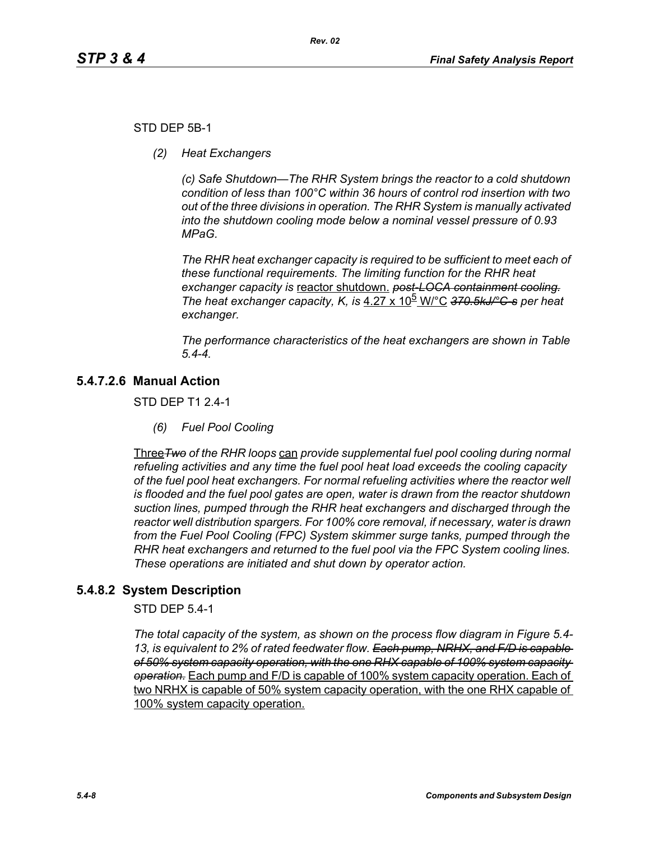### STD DEP 5B-1

*(2) Heat Exchangers*

*(c) Safe Shutdown—The RHR System brings the reactor to a cold shutdown condition of less than 100°C within 36 hours of control rod insertion with two out of the three divisions in operation. The RHR System is manually activated into the shutdown cooling mode below a nominal vessel pressure of 0.93 MPaG.* 

*The RHR heat exchanger capacity is required to be sufficient to meet each of these functional requirements. The limiting function for the RHR heat exchanger capacity is* reactor shutdown. *post-LOCA containment cooling. The heat exchanger capacity, K, is* 4.27 x 10<sup>b</sup> W/°C 370.5kJ/°C-s per heat *exchanger.*

*The performance characteristics of the heat exchangers are shown in Table 5.4-4.*

# **5.4.7.2.6 Manual Action**

STD DEP T1 2.4-1

*(6) Fuel Pool Cooling*

Three*Two of the RHR loops* can *provide supplemental fuel pool cooling during normal refueling activities and any time the fuel pool heat load exceeds the cooling capacity of the fuel pool heat exchangers. For normal refueling activities where the reactor well is flooded and the fuel pool gates are open, water is drawn from the reactor shutdown suction lines, pumped through the RHR heat exchangers and discharged through the reactor well distribution spargers. For 100% core removal, if necessary, water is drawn from the Fuel Pool Cooling (FPC) System skimmer surge tanks, pumped through the RHR heat exchangers and returned to the fuel pool via the FPC System cooling lines. These operations are initiated and shut down by operator action.*

# **5.4.8.2 System Description**

STD DEP 5.4-1

*The total capacity of the system, as shown on the process flow diagram in Figure 5.4- 13, is equivalent to 2% of rated feedwater flow. Each pump, NRHX, and F/D is capable of 50% system capacity operation, with the one RHX capable of 100% system capacity operation.* Each pump and F/D is capable of 100% system capacity operation. Each of two NRHX is capable of 50% system capacity operation, with the one RHX capable of 100% system capacity operation.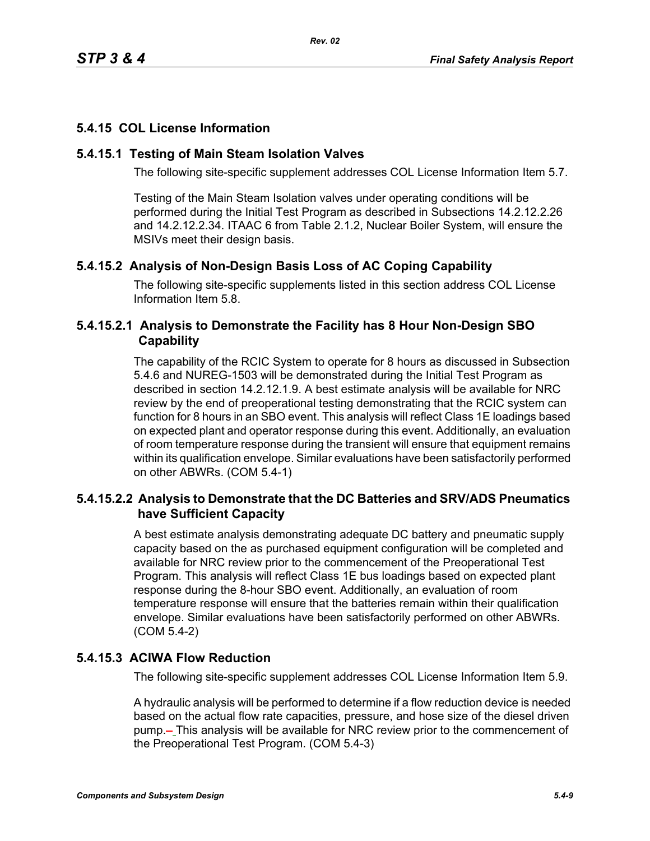# **5.4.15 COL License Information**

## **5.4.15.1 Testing of Main Steam Isolation Valves**

The following site-specific supplement addresses COL License Information Item 5.7.

Testing of the Main Steam Isolation valves under operating conditions will be performed during the Initial Test Program as described in Subsections 14.2.12.2.26 and 14.2.12.2.34. ITAAC 6 from Table 2.1.2, Nuclear Boiler System, will ensure the MSIVs meet their design basis.

# **5.4.15.2 Analysis of Non-Design Basis Loss of AC Coping Capability**

The following site-specific supplements listed in this section address COL License Information Item 5.8.

# **5.4.15.2.1 Analysis to Demonstrate the Facility has 8 Hour Non-Design SBO Capability**

The capability of the RCIC System to operate for 8 hours as discussed in Subsection 5.4.6 and NUREG-1503 will be demonstrated during the Initial Test Program as described in section 14.2.12.1.9. A best estimate analysis will be available for NRC review by the end of preoperational testing demonstrating that the RCIC system can function for 8 hours in an SBO event. This analysis will reflect Class 1E loadings based on expected plant and operator response during this event. Additionally, an evaluation of room temperature response during the transient will ensure that equipment remains within its qualification envelope. Similar evaluations have been satisfactorily performed on other ABWRs. (COM 5.4-1)

# **5.4.15.2.2 Analysis to Demonstrate that the DC Batteries and SRV/ADS Pneumatics have Sufficient Capacity**

A best estimate analysis demonstrating adequate DC battery and pneumatic supply capacity based on the as purchased equipment configuration will be completed and available for NRC review prior to the commencement of the Preoperational Test Program. This analysis will reflect Class 1E bus loadings based on expected plant response during the 8-hour SBO event. Additionally, an evaluation of room temperature response will ensure that the batteries remain within their qualification envelope. Similar evaluations have been satisfactorily performed on other ABWRs. (COM 5.4-2)

# **5.4.15.3 ACIWA Flow Reduction**

The following site-specific supplement addresses COL License Information Item 5.9.

A hydraulic analysis will be performed to determine if a flow reduction device is needed based on the actual flow rate capacities, pressure, and hose size of the diesel driven pump.- This analysis will be available for NRC review prior to the commencement of the Preoperational Test Program. (COM 5.4-3)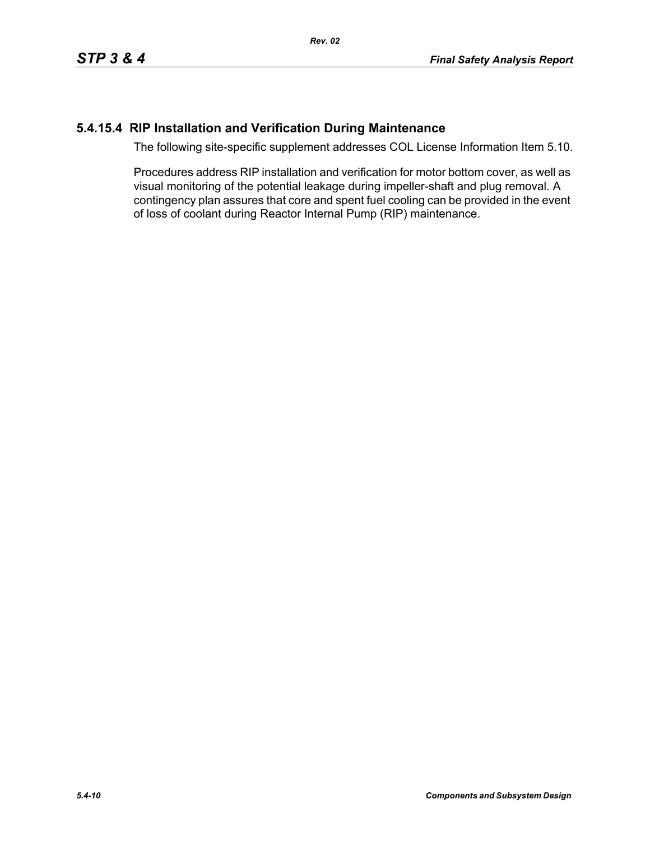# **5.4.15.4 RIP Installation and Verification During Maintenance**

The following site-specific supplement addresses COL License Information Item 5.10.

Procedures address RIP installation and verification for motor bottom cover, as well as visual monitoring of the potential leakage during impeller-shaft and plug removal. A contingency plan assures that core and spent fuel cooling can be provided in the event of loss of coolant during Reactor Internal Pump (RIP) maintenance.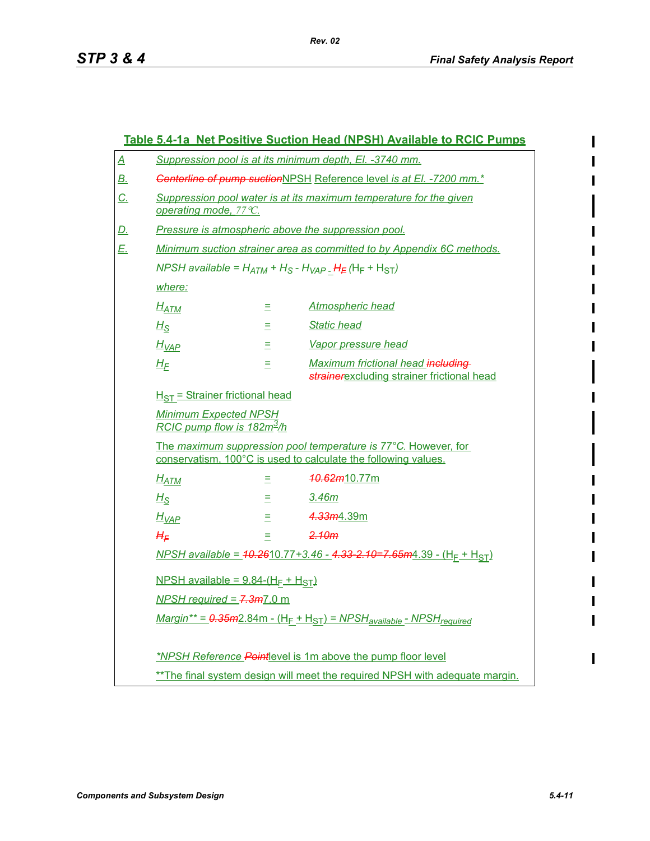|           | Table 5.4-1a Net Positive Suction Head (NPSH) Available to RCIC Pumps                                                                  |    |                                                                                                                                  |  |  |
|-----------|----------------------------------------------------------------------------------------------------------------------------------------|----|----------------------------------------------------------------------------------------------------------------------------------|--|--|
| <u>A</u>  | Suppression pool is at its minimum depth, El. -3740 mm.                                                                                |    |                                                                                                                                  |  |  |
| <u>B.</u> | Centerline of pump suctionNPSH Reference level is at El. -7200 mm.*                                                                    |    |                                                                                                                                  |  |  |
| $C_{1}$   | Suppression pool water is at its maximum temperature for the given<br>operating mode, 77 °C.                                           |    |                                                                                                                                  |  |  |
| <u>D.</u> | Pressure is atmospheric above the suppression pool.                                                                                    |    |                                                                                                                                  |  |  |
| E.,       | Minimum suction strainer area as committed to by Appendix 6C methods.                                                                  |    |                                                                                                                                  |  |  |
|           | NPSH available = $H_{ATM}$ + $H_S$ - $H_{VAP}$ $H_F$ (H <sub>F</sub> + H <sub>ST</sub> )                                               |    |                                                                                                                                  |  |  |
|           | where:                                                                                                                                 |    |                                                                                                                                  |  |  |
|           | $H_{ATM}$                                                                                                                              | Ξ  | <b>Atmospheric head</b>                                                                                                          |  |  |
|           | $H_{\mathcal{S}}$                                                                                                                      | Ξ. | <b>Static head</b>                                                                                                               |  |  |
|           | Vapor pressure head<br>$H_{VAP}$<br>Ξ<br>Maximum frictional head including<br>$H_F$<br>Ξ<br>strainerexcluding strainer frictional head |    |                                                                                                                                  |  |  |
|           |                                                                                                                                        |    |                                                                                                                                  |  |  |
|           | $H_{ST}$ = Strainer frictional head<br><b>Minimum Expected NPSH</b><br>RCIC pump flow is 182 $m^3/h$                                   |    |                                                                                                                                  |  |  |
|           |                                                                                                                                        |    |                                                                                                                                  |  |  |
|           |                                                                                                                                        |    | The maximum suppression pool temperature is 77°C. However, for<br>conservatism, 100°C is used to calculate the following values. |  |  |
|           | $H_{ATM}$                                                                                                                              | Ξ  | <del>10.62<i>m</i></del> 10.77m                                                                                                  |  |  |
|           | $H_{\mathcal{S}}$                                                                                                                      | Ξ. | <u>3.46m</u>                                                                                                                     |  |  |
|           | $H_{VAP}$                                                                                                                              | E. | 4.33m4.39m                                                                                                                       |  |  |
|           | $H_E$                                                                                                                                  | Ξ. | 2.10m                                                                                                                            |  |  |
|           | NPSH available = $10.2610.77 + 3.46 - 4.33 - 2.10 = 7.65$ m $4.39 - (H_F + H_{ST})$                                                    |    |                                                                                                                                  |  |  |
|           | NPSH available = $9.84-(H_F + H_{ST})$                                                                                                 |    |                                                                                                                                  |  |  |
|           | <b>NPSH</b> required = $7.3m$ 7.0 m                                                                                                    |    |                                                                                                                                  |  |  |
|           | $Margin^{**} = 0.35m2.84m - (H_F + H_{ST}) = NPSH_{available} - NPSH_{required}$                                                       |    |                                                                                                                                  |  |  |
|           | *NPSH Reference Pointlevel is 1m above the pump floor level                                                                            |    |                                                                                                                                  |  |  |
|           | ** The final system design will meet the required NPSH with adequate margin.                                                           |    |                                                                                                                                  |  |  |

 $\blacksquare$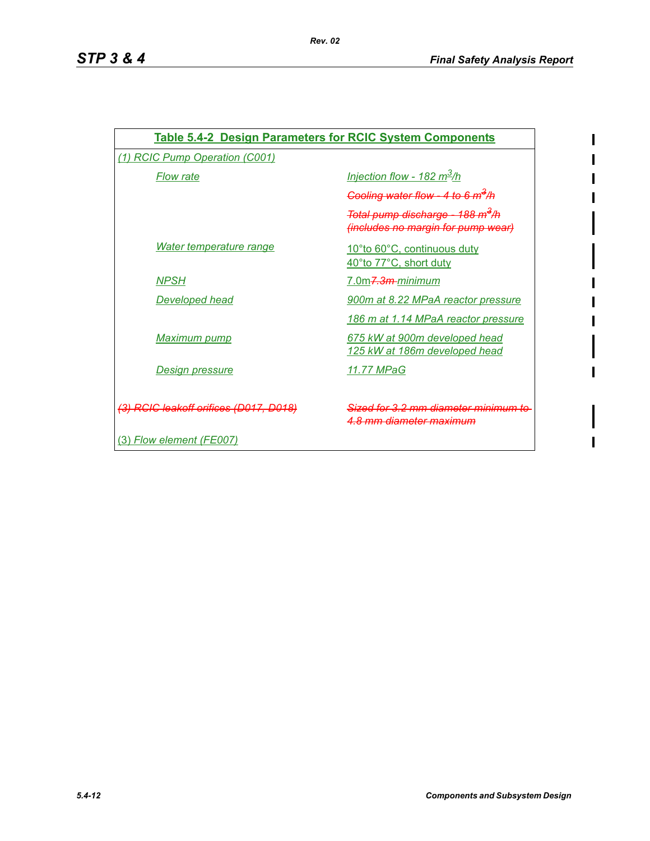$\mathbf I$ 

 $\mathbf I$ 

| <b>Table 5.4-2 Design Parameters for RCIC System Components</b> |                                                                                             |  |  |  |
|-----------------------------------------------------------------|---------------------------------------------------------------------------------------------|--|--|--|
| (1) RCIC Pump Operation (C001)                                  |                                                                                             |  |  |  |
| <b>Flow rate</b>                                                | Injection flow - 182 $m^3/h$                                                                |  |  |  |
|                                                                 | Cooling water flow - 4 to 6 $m^3/h$                                                         |  |  |  |
|                                                                 | <del>Total pump discharge - 188 m<sup>3</sup>/h</del><br>(includes no margin for pump wear) |  |  |  |
| Water temperature range                                         | 10°to 60°C, continuous duty<br>40°to 77°C, short duty                                       |  |  |  |
| <b>NPSH</b>                                                     | 7.0m <del>7.3m-</del> minimum                                                               |  |  |  |
| <u>Developed head</u>                                           | 900m at 8.22 MPaA reactor pressure                                                          |  |  |  |
|                                                                 | 186 m at 1.14 MPaA reactor pressure                                                         |  |  |  |
| <b>Maximum pump</b>                                             | 675 kW at 900m developed head<br>125 kW at 186m developed head                              |  |  |  |
| Design pressure                                                 | 11.77 MPaG                                                                                  |  |  |  |
| (3) RCIC leakoff orifices (D017, D018)                          | Sized for 3.2 mm diameter minimum<br>4.8 mm diameter maximum                                |  |  |  |
| (3) Flow element (FE007)                                        |                                                                                             |  |  |  |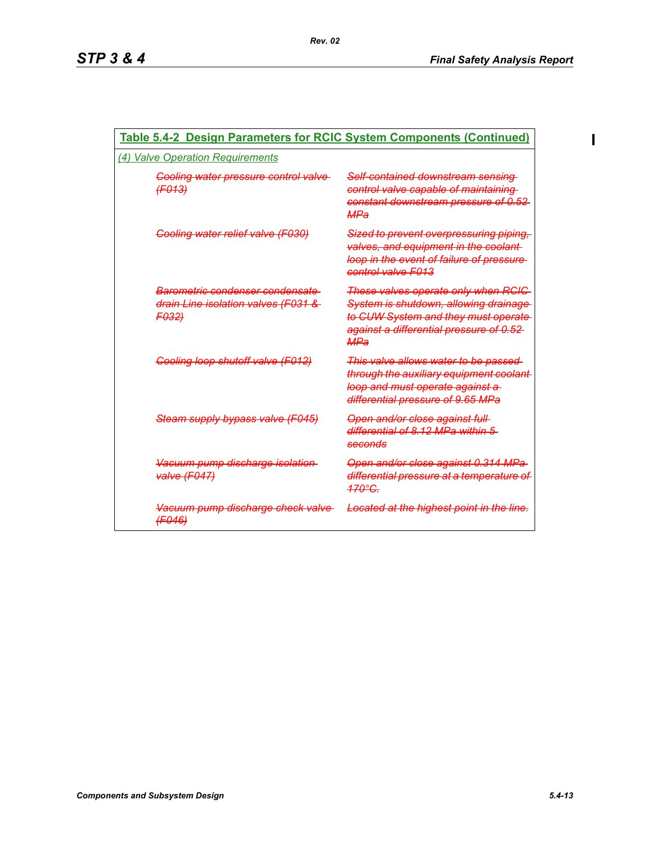$\mathbf I$ 

| <b>Table 5.4-2 Design Parameters for RCIC System Components (Continued)</b>            |                                                                                                                                                                               |  |  |  |
|----------------------------------------------------------------------------------------|-------------------------------------------------------------------------------------------------------------------------------------------------------------------------------|--|--|--|
| (4) Valve Operation Requirements                                                       |                                                                                                                                                                               |  |  |  |
| Cooling water pressure control valve<br>(F013)                                         | <del>Self-contained downstream sensing-</del><br>control valve capable of maintaining<br><del>constant downstream pressure of 0.52-</del><br><b>MPa</b>                       |  |  |  |
| <b>Cooling water relief valve (F030)</b>                                               | Sized to prevent overpressuring piping,<br>valves, and equipment in the coolant-<br>loop in the event of failure of pressure-<br>control valve F013                           |  |  |  |
| Barometric condenser condensate<br>drain Line isolation valves (F031 &<br><b>FO32)</b> | These valves operate only when RCIC<br>System is shutdown, allowing drainage<br>to CUW System and they must operate<br>against a differential pressure of 0.52-<br><b>MPa</b> |  |  |  |
| Cooling loop shutoff valve (F012)                                                      | This valve allows water to be passed<br>through the auxiliary equipment coolant<br>loop and must operate against a<br>differential pressure of 9.65 MPa                       |  |  |  |
| Steam supply bypass valve (F045)                                                       | <del>Open and/or close against full</del><br>differential of 8.12 MPa within 5<br>seconds                                                                                     |  |  |  |
| Vacuum pump discharge isolation<br>valve (F047)                                        | Open and/or close against 0.314 MPa<br>differential pressure at a temperature of<br><u> 170°C.</u>                                                                            |  |  |  |
| Vacuum pump discharge check valve<br>(F046)                                            | Located at the highest point in the line.                                                                                                                                     |  |  |  |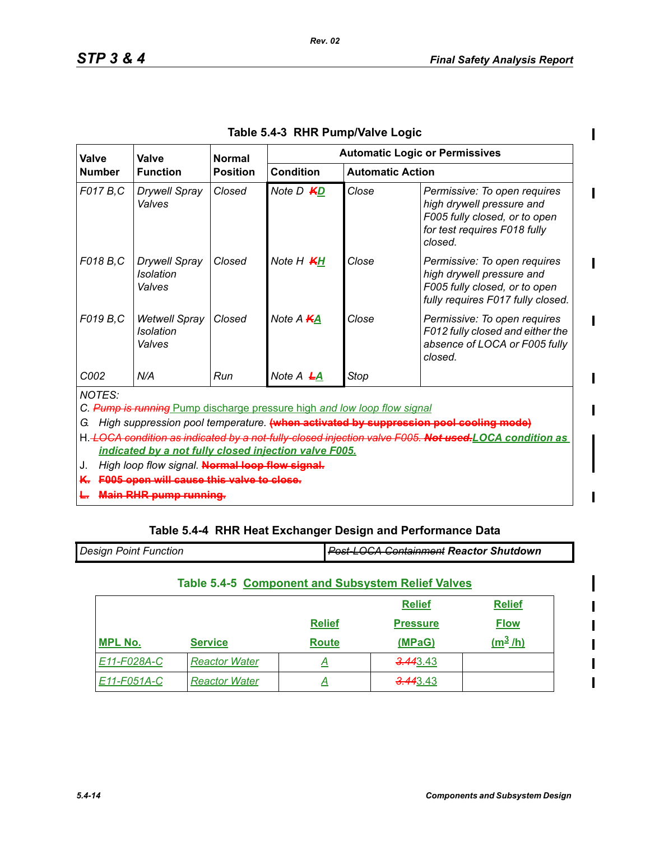$\blacksquare$ 

 $\blacksquare$ 

 $\blacksquare$ 

 $\mathbf{l}$ 

Ι

| Valve                                                                                                                                                                                                                                                                                                                                                                                                              | Valve<br><b>Function</b>                           |        |                                             | <b>Automatic Logic or Permissives</b> |                                                                                                                                       |  |
|--------------------------------------------------------------------------------------------------------------------------------------------------------------------------------------------------------------------------------------------------------------------------------------------------------------------------------------------------------------------------------------------------------------------|----------------------------------------------------|--------|---------------------------------------------|---------------------------------------|---------------------------------------------------------------------------------------------------------------------------------------|--|
| <b>Number</b>                                                                                                                                                                                                                                                                                                                                                                                                      |                                                    |        | <b>Condition</b><br><b>Automatic Action</b> |                                       |                                                                                                                                       |  |
| F017 B.C                                                                                                                                                                                                                                                                                                                                                                                                           | <b>Drywell Spray</b><br>Valves                     | Closed | Note D <b>KD</b>                            | Close                                 | Permissive: To open requires<br>high drywell pressure and<br>F005 fully closed, or to open<br>for test requires F018 fully<br>closed. |  |
| F018 B.C                                                                                                                                                                                                                                                                                                                                                                                                           | <b>Drywell Spray</b><br><b>Isolation</b><br>Valves | Closed | Note H <b>KH</b>                            | Close                                 | Permissive: To open requires<br>high drywell pressure and<br>F005 fully closed, or to open<br>fully requires F017 fully closed.       |  |
| F019 B.C                                                                                                                                                                                                                                                                                                                                                                                                           | <b>Wetwell Spray</b><br>Isolation<br>Valves        | Closed | Note A KA                                   | Close                                 | Permissive: To open requires<br>F012 fully closed and either the<br>absence of LOCA or F005 fully<br>closed.                          |  |
| C002                                                                                                                                                                                                                                                                                                                                                                                                               | N/A                                                | Run    | Note $A$ $H$                                | Stop                                  |                                                                                                                                       |  |
| <b>NOTES:</b><br>C. Pump is running Pump discharge pressure high and low loop flow signal<br>High suppression pool temperature. (when activated by suppression pool cooling mode)<br>G.<br>H. LOCA condition as indicated by a not-fully-closed injection valve F005. Not used LOCA condition as<br>indicated by a not fully closed injection valve F005.<br>High loop flow signal. Normal loop flow signal.<br>J. |                                                    |        |                                             |                                       |                                                                                                                                       |  |
| F005 open will cause this valve to close.<br>$K_{\tau}$<br><b>Main RHR pump running.</b>                                                                                                                                                                                                                                                                                                                           |                                                    |        |                                             |                                       |                                                                                                                                       |  |

| Table 5.4-3 RHR Pump/Valve Logic |  |  |  |  |
|----------------------------------|--|--|--|--|
|----------------------------------|--|--|--|--|

*Rev. 02*

## **Table 5.4-4 RHR Heat Exchanger Design and Performance Data**

| <b>Design Point Function</b> | <b>Post-LOCA Containment Reactor Shutdown</b> |
|------------------------------|-----------------------------------------------|

| <b>Table 5.4-5 Component and Subsystem Relief Valves</b> |  |  |
|----------------------------------------------------------|--|--|
|                                                          |  |  |

|                |                      |               | <b>Relief</b>        | <b>Relief</b> |
|----------------|----------------------|---------------|----------------------|---------------|
|                |                      | <b>Relief</b> | <b>Pressure</b>      | <u>Flow</u>   |
| <b>MPL No.</b> | <b>Service</b>       | <b>Route</b>  | (MPaG)               | $(m^3/h)$     |
| E11-F028A-C    | <b>Reactor Water</b> | ≞             | <del>3.44</del> 3.43 |               |
| E11-F051A-C    | <b>Reactor Water</b> | Ħ             | <del>3.44</del> 3.43 |               |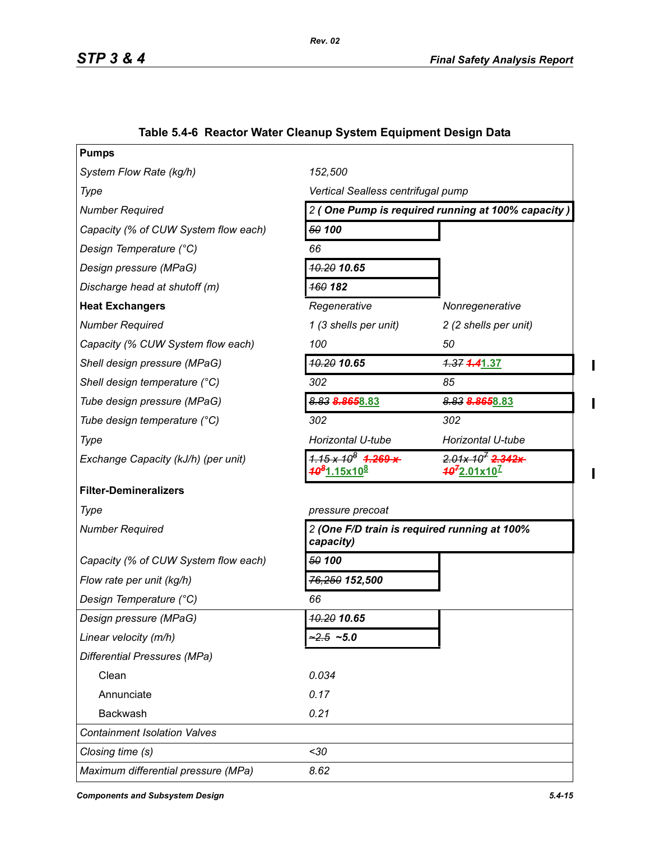| <b>Pumps</b>                         |                                                                                     |                                                      |  |
|--------------------------------------|-------------------------------------------------------------------------------------|------------------------------------------------------|--|
| System Flow Rate (kg/h)              | 152,500                                                                             |                                                      |  |
| Type                                 | Vertical Sealless centrifugal pump                                                  |                                                      |  |
| <b>Number Required</b>               | 2 (One Pump is required running at 100% capacity)                                   |                                                      |  |
| Capacity (% of CUW System flow each) | 50 100                                                                              |                                                      |  |
| Design Temperature (°C)              | 66                                                                                  |                                                      |  |
| Design pressure (MPaG)               | <b>10.20 10.65</b>                                                                  |                                                      |  |
| Discharge head at shutoff (m)        | <b>160 182</b>                                                                      |                                                      |  |
| <b>Heat Exchangers</b>               | Regenerative                                                                        | Nonregenerative                                      |  |
| <b>Number Required</b>               | 1 (3 shells per unit)                                                               | 2 (2 shells per unit)                                |  |
| Capacity (% CUW System flow each)    | 100                                                                                 | 50                                                   |  |
| Shell design pressure (MPaG)         | 10.20 10.65                                                                         | 1.37 4.41.37                                         |  |
| Shell design temperature (°C)        | 302                                                                                 | 85                                                   |  |
| Tube design pressure (MPaG)          | 8.83 8.8658.83                                                                      | 8.83 8.8658.83                                       |  |
| Tube design temperature (°C)         | 302                                                                                 | 302                                                  |  |
| Type                                 | Horizontal U-tube                                                                   | Horizontal U-tube                                    |  |
| Exchange Capacity (kJ/h) (per unit)  | $1.15 \times 10^8$ $1.269 \times$<br><mark>40<sup>8</sup>1.15x10<sup>8</sup></mark> | $2.01x 10^7$ 2.342x<br>$40^{7}$ 2.01x10 <sup>7</sup> |  |
| <b>Filter-Demineralizers</b>         |                                                                                     |                                                      |  |
| Type                                 | pressure precoat                                                                    |                                                      |  |
| <b>Number Required</b>               | 2 (One F/D train is required running at 100%<br>capacity)                           |                                                      |  |
| Capacity (% of CUW System flow each) | 50 100                                                                              |                                                      |  |
| Flow rate per unit (kg/h)            | <del>76,250</del> 152,500                                                           |                                                      |  |
| Design Temperature (°C)              | 66                                                                                  |                                                      |  |
| Design pressure (MPaG)               | 10.20 10.65                                                                         |                                                      |  |
| Linear velocity (m/h)                | $-2.5 - 5.0$                                                                        |                                                      |  |
| <b>Differential Pressures (MPa)</b>  |                                                                                     |                                                      |  |
| Clean                                | 0.034                                                                               |                                                      |  |
| Annunciate                           | 0.17                                                                                |                                                      |  |
| Backwash                             | 0.21                                                                                |                                                      |  |
| <b>Containment Isolation Valves</b>  |                                                                                     |                                                      |  |
| Closing time (s)                     | $30$                                                                                |                                                      |  |
| Maximum differential pressure (MPa)  | 8.62                                                                                |                                                      |  |

# **Table 5.4-6 Reactor Water Cleanup System Equipment Design Data**

*Components and Subsystem Design 5.4-15*

 $\blacksquare$ 

 $\blacksquare$ 

 $\mathbf{I}$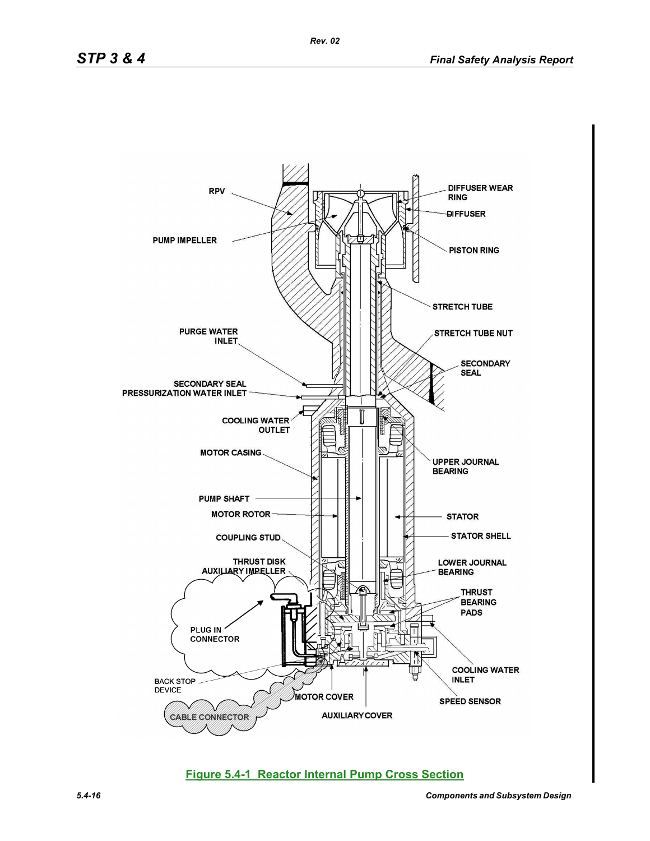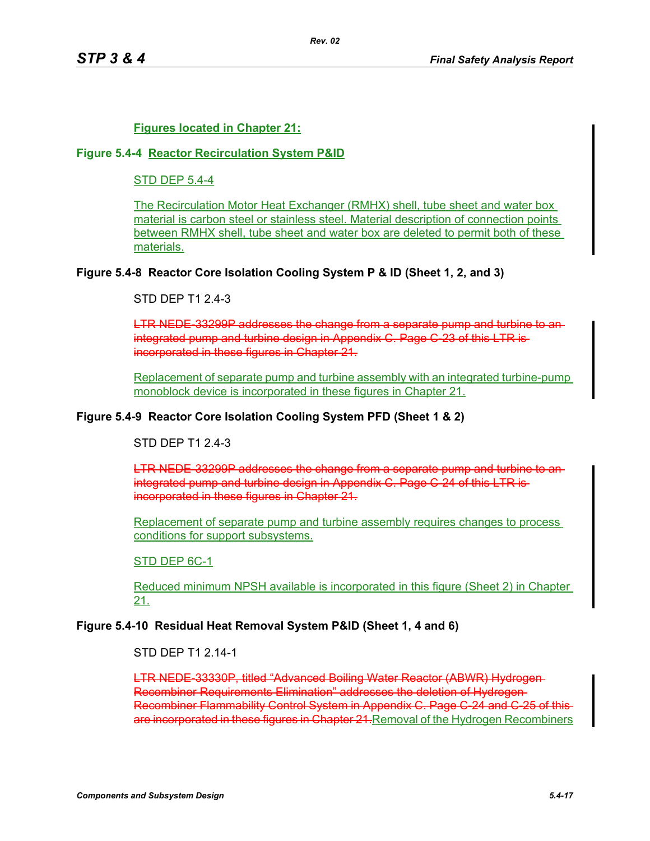## **Figures located in Chapter 21:**

#### **Figure 5.4-4 Reactor Recirculation System P&ID**

## STD DEP 5.4-4

The Recirculation Motor Heat Exchanger (RMHX) shell, tube sheet and water box material is carbon steel or stainless steel. Material description of connection points between RMHX shell, tube sheet and water box are deleted to permit both of these materials.

### **Figure 5.4-8 Reactor Core Isolation Cooling System P & ID (Sheet 1, 2, and 3)**

### STD DFP T1 2 4-3

LTR NEDE-33299P addresses the change from a separate pump and turbine to anintegrated pump and turbine design in Appendix C. Page C-23 of this LTR isincorporated in these figures in Chapter 21.

Replacement of separate pump and turbine assembly with an integrated turbine-pump monoblock device is incorporated in these figures in Chapter 21.

#### **Figure 5.4-9 Reactor Core Isolation Cooling System PFD (Sheet 1 & 2)**

### STD DEP T1 2.4-3

LTR NEDE-33299P addresses the change from a separate pump and turbine to an integrated pump and turbine design in Appendix C. Page C-24 of this LTR is incorporated in these figures in Chapter 21.

Replacement of separate pump and turbine assembly requires changes to process conditions for support subsystems.

#### STD DEP 6C-1

Reduced minimum NPSH available is incorporated in this figure (Sheet 2) in Chapter 21.

#### **Figure 5.4-10 Residual Heat Removal System P&ID (Sheet 1, 4 and 6)**

STD DFP T1 2 14-1

LTR NEDE-33330P, titled "Advanced Boiling Water Reactor (ABWR) Hydrogen Recombiner Requirements Elimination" addresses the deletion of Hydrogen Recombiner Flammability Control System in Appendix C. Page C-24 and C-25 of thisare incorporated in these figures in Chapter 21. Removal of the Hydrogen Recombiners